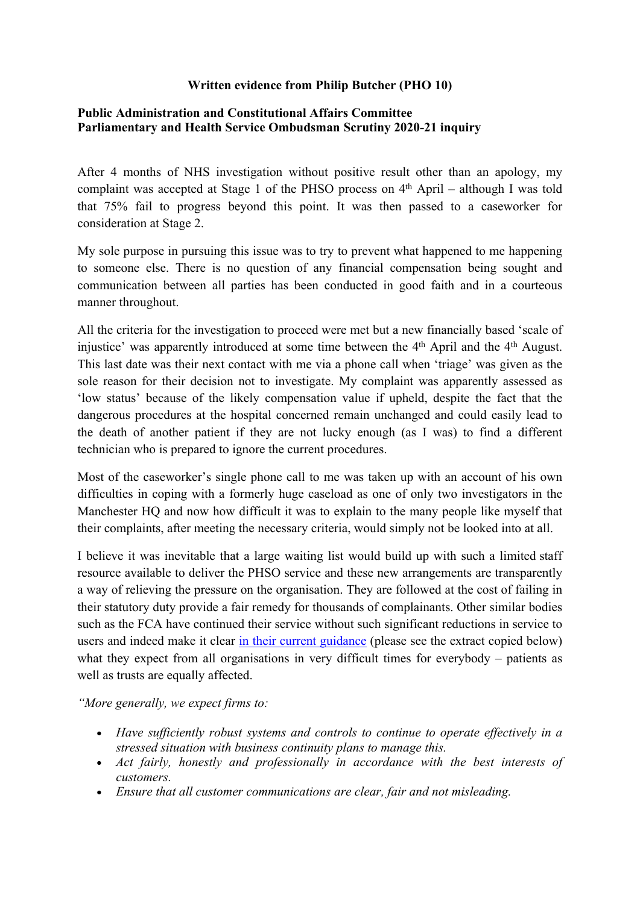## **Written evidence from Philip Butcher (PHO 10)**

## **[Public](https://admin.committees.parliament.uk/Committee/Edit/327) [Administration](https://admin.committees.parliament.uk/Committee/Edit/327) [and](https://admin.committees.parliament.uk/Committee/Edit/327) [Constitutional](https://admin.committees.parliament.uk/Committee/Edit/327) [Affairs](https://admin.committees.parliament.uk/Committee/Edit/327) [Committee](https://admin.committees.parliament.uk/Committee/Edit/327) [Parliamentary](https://admin.committees.parliament.uk/Committee/327/CommitteeBusiness/Edit/1503) [and](https://admin.committees.parliament.uk/Committee/327/CommitteeBusiness/Edit/1503) [Health](https://admin.committees.parliament.uk/Committee/327/CommitteeBusiness/Edit/1503) [Service](https://admin.committees.parliament.uk/Committee/327/CommitteeBusiness/Edit/1503) [Ombudsman](https://admin.committees.parliament.uk/Committee/327/CommitteeBusiness/Edit/1503) [Scrutiny](https://admin.committees.parliament.uk/Committee/327/CommitteeBusiness/Edit/1503) [2020-21](https://admin.committees.parliament.uk/Committee/327/CommitteeBusiness/Edit/1503) inquiry**

After 4 months of NHS investigation without positive result other than an apology, my complaint was accepted at Stage 1 of the PHSO process on  $4<sup>th</sup>$  April – although I was told that 75% fail to progress beyond this point. It was then passed to a caseworker for consideration at Stage 2.

My sole purpose in pursuing this issue was to try to prevent what happened to me happening to someone else. There is no question of any financial compensation being sought and communication between all parties has been conducted in good faith and in a courteous manner throughout.

All the criteria for the investigation to proceed were met but a new financially based 'scale of injustice' was apparently introduced at some time between the 4<sup>th</sup> April and the 4<sup>th</sup> August. This last date was their next contact with me via a phone call when 'triage' was given as the sole reason for their decision not to investigate. My complaint was apparently assessed as 'low status' because of the likely compensation value if upheld, despite the fact that the dangerous procedures at the hospital concerned remain unchanged and could easily lead to the death of another patient if they are not lucky enough (as I was) to find a different technician who is prepared to ignore the current procedures.

Most of the caseworker's single phone call to me was taken up with an account of his own difficulties in coping with a formerly huge caseload as one of only two investigators in the Manchester HQ and now how difficult it was to explain to the many people like myself that their complaints, after meeting the necessary criteria, would simply not be looked into at all.

I believe it was inevitable that a large waiting list would build up with such a limited staff resource available to deliver the PHSO service and these new arrangements are transparently a way of relieving the pressure on the organisation. They are followed at the cost of failing in their statutory duty provide a fair remedy for thousands of complainants. Other similar bodies such as the FCA have continued their service without such significant reductions in service to users and indeed make it clear [in](https://www.fca.org.uk/firms/insurance-and-coronavirus-our-expectations) [their](https://www.fca.org.uk/firms/insurance-and-coronavirus-our-expectations) [current](https://www.fca.org.uk/firms/insurance-and-coronavirus-our-expectations) [guidance](https://www.fca.org.uk/firms/insurance-and-coronavirus-our-expectations) (please see the extract copied below) what they expect from all organisations in very difficult times for everybody – patients as well as trusts are equally affected.

*"More generally, we expect firms to:*

- *Have sufficiently robust systems and controls to continue to operate effectively in a stressed situation with business continuity plans to manage this.*
- *Act fairly, honestly and professionally in accordance with the best interests of customers.*
- *Ensure that all customer communications are clear, fair and not misleading.*